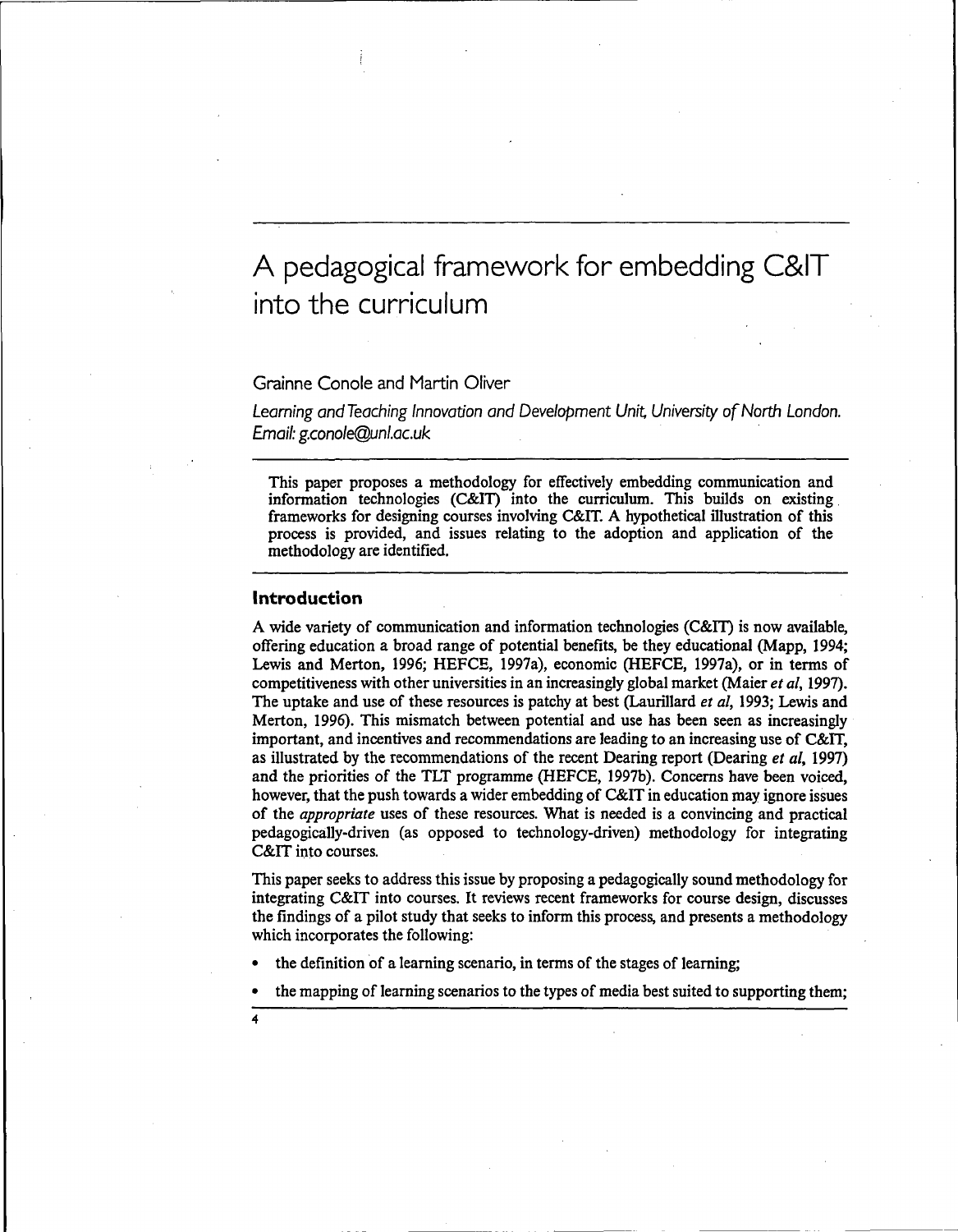# A pedagogical framework for embedding C&IT into the curriculum

## Grainne Conole and Martin Oliver

Learning and Teaching Innovation and Development Unit, University of North London. Email: g.conole@unl.ac.uk

This paper proposes a methodology for effectively embedding communication and information technologies (C&IT) into the curriculum. This builds on existing frameworks for designing courses involving C&IT. A hypothetical illustration of this process is provided, and issues relating to the adoption and application of the methodology are identified.

## **Introduction**

A wide variety of communication and information technologies (C&IT) is now available, offering education a broad range of potential benefits, be they educational (Mapp, 1994; Lewis and Merton, 1996; HEFCE, 1997a), economic (HEFCE, 1997a), or in terms of competitiveness with other universities in an increasingly global market (Maier *et al,* 1997). The uptake and use of these resources is patchy at best (Laurillard *et al,* 1993; Lewis and Merton, 1996). This mismatch between potential and use has been seen as increasingly important, and incentives and recommendations are leading to an increasing use of C&IT, as illustrated by the recommendations of the recent Dearing report (Dearing *et al*, 1997) and the priorities of the TLT programme (HEFCE, 1997b). Concerns have been voiced, however, that the push towards a wider embedding of C&IT in education may ignore issues of the *appropriate* uses of these resources. What is needed is a convincing and practical pedagogically-driven (as opposed to technology-driven) methodology for integrating C&IT into courses.

This paper seeks to address this issue by proposing a pedagogically sound methodology for integrating C&IT into courses. It reviews recent frameworks for course design, discusses the findings of a pilot study that seeks to inform this process, and presents a methodology which incorporates the following:

- the definition of a learning scenario, in terms of the stages of learning;
- the mapping of learning scenarios to the types of media best suited to supporting them;
- **4**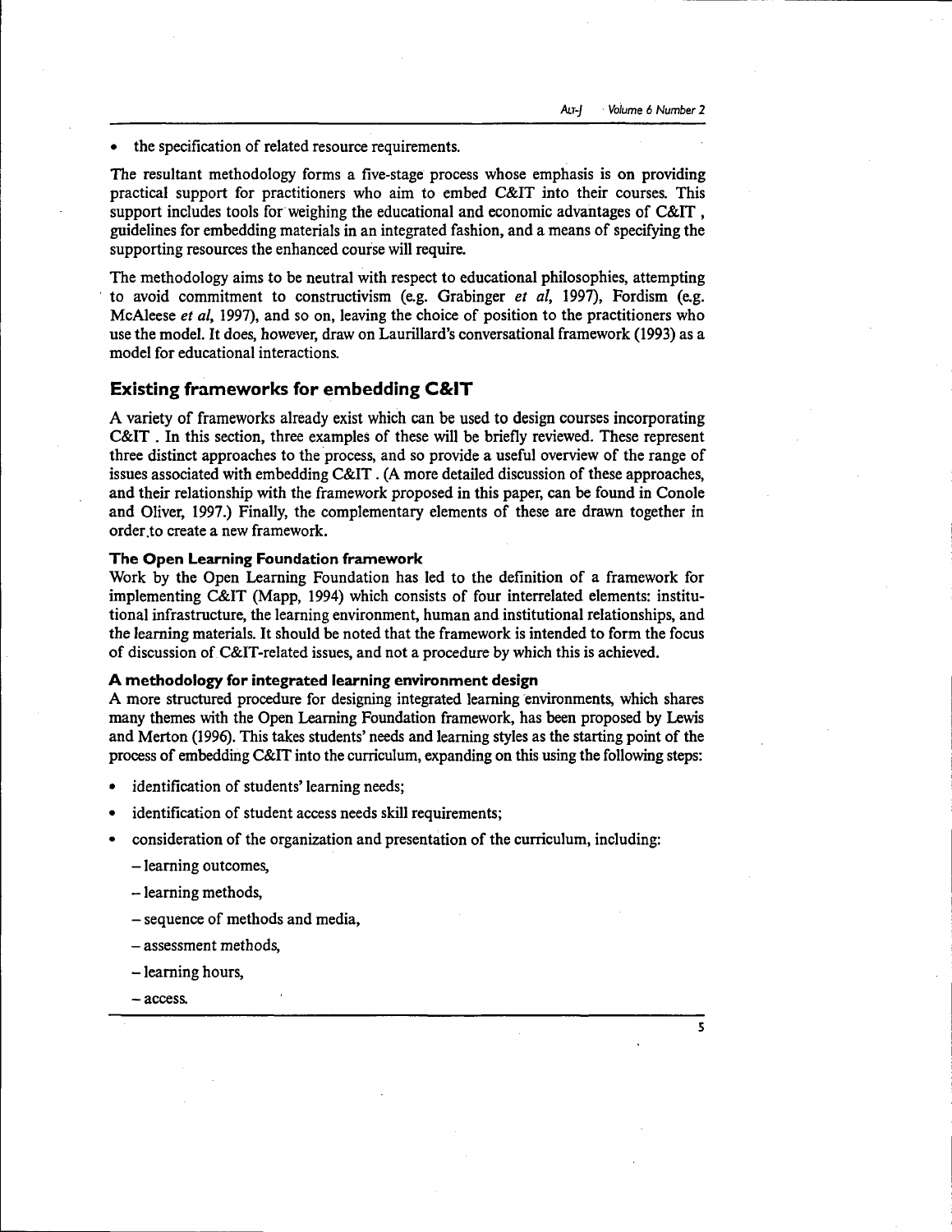the specification of related resource requirements.

The resultant methodology forms a five-stage process whose emphasis is on providing practical support for practitioners who aim to embed C&IT into their courses. This support includes tools for weighing the educational and economic advantages of C&IT , guidelines for embedding materials in an integrated fashion, and a means of specifying the supporting resources the enhanced course will require.

The methodology aims to be neutral with respect to educational philosophies, attempting to avoid commitment to constructivism (e.g. Grabinger *et al,* 1997), Fordism (e.g. McAleese *et al,* 1997), and so on, leaving the choice of position to the practitioners who use the model. It does, however, draw on Laurillard's conversational framework (1993) as a model for educational interactions.

# **Existing frameworks for embedding C&IT**

A variety of frameworks already exist which can be used to design courses incorporating C&IT . In this section, three examples of these will be briefly reviewed. These represent three distinct approaches to the process, and so provide a useful overview of the range of issues associated with embedding C&IT. (A more detailed discussion of these approaches, and their relationship with the framework proposed in this paper, can be found in Conole and Oliver, 1997.) Finally, the complementary elements of these are drawn together in order to create a new framework.

#### **The Open Learning Foundation framework**

Work by the Open Learning Foundation has led to the definition of a framework for implementing C&IT (Mapp, 1994) which consists of four interrelated elements: institutional infrastructure, the learning environment, human and institutional relationships, and the learning materials. It should be noted that the framework is intended to form the focus of discussion of C&IT-related issues, and not a procedure by which this is achieved.

#### **A methodology for integrated learning environment design**

A more structured procedure for designing integrated learning environments, which shares many themes with the Open Learning Foundation framework, has been proposed by Lewis and Merton (1996). This takes students' needs and learning styles as the starting point of the process of embedding C&IT into the curriculum, expanding on this using the following steps:

- identification of students' learning needs;
- identification of student access needs skill requirements;
- consideration of the organization and presentation of the curriculum, including:
	- learning outcomes,
	- learning methods,
	- sequence of methods and media,
	- assessment methods,
	- learning hours,
	- access.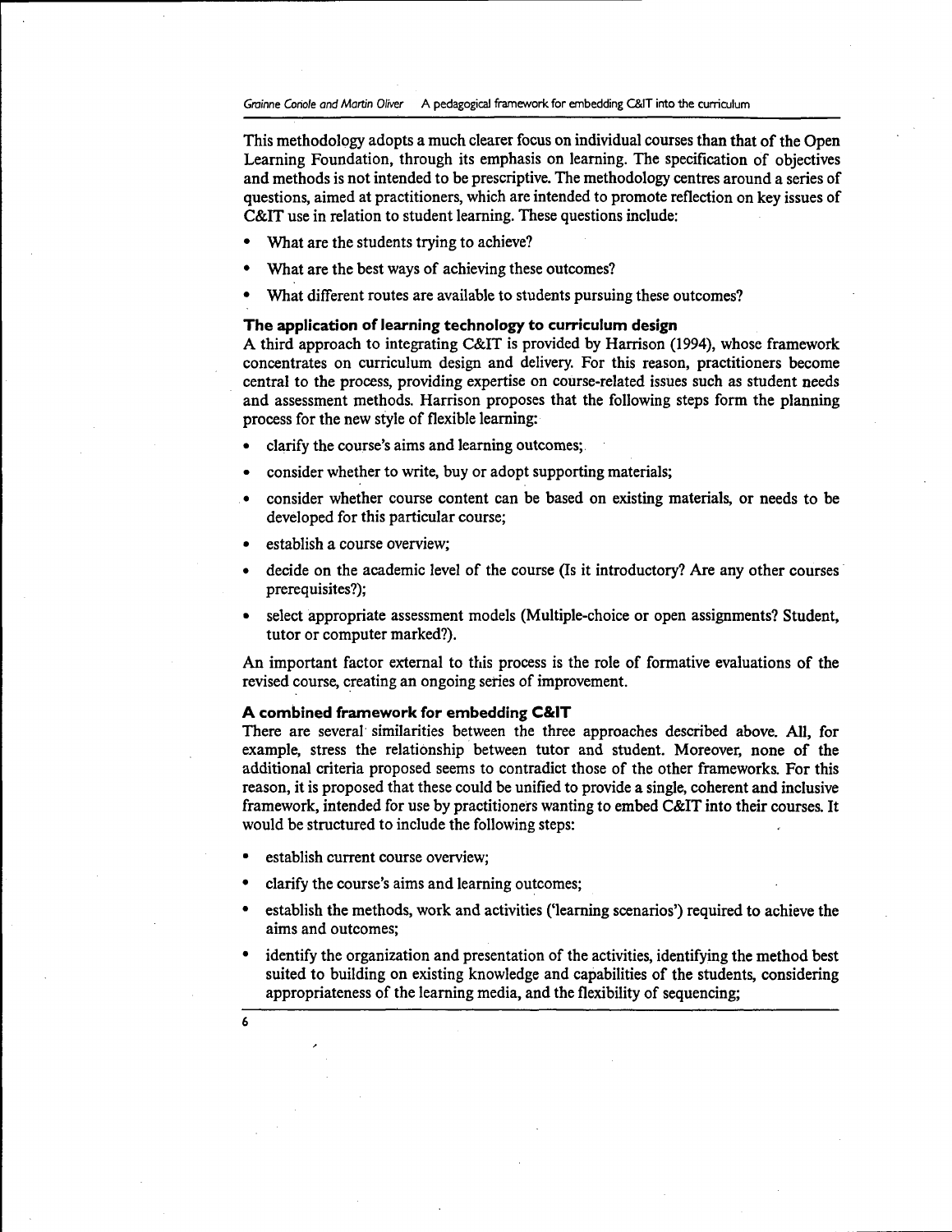This methodology adopts a much clearer focus on individual courses than that of the Open Learning Foundation, through its emphasis on learning. The specification of objectives and methods is not intended to be prescriptive. The methodology centres around a series of questions, aimed at practitioners, which are intended to promote reflection on key issues of C&IT use in relation to student learning. These questions include:

- What are the students trying to achieve?
- What are the best ways of achieving these outcomes?
- What different routes are available to students pursuing these outcomes?

## **The application of learning technology to curriculum design**

A third approach to integrating C&IT is provided by Harrison (1994), whose framework concentrates on curriculum design and delivery. For this reason, practitioners become central to the process, providing expertise on course-related issues such as student needs and assessment methods. Harrison proposes that the following steps form the planning process for the new style of flexible learning:

- clarify the course's aims and learning outcomes;
- consider whether to write, buy or adopt supporting materials;
- consider whether course content can be based on existing materials, or needs to be developed for this particular course;
- establish a course overview;
- decide on the academic level of the course (Is it introductory? Are any other courses prerequisites?);
- select appropriate assessment models (Multiple-choice or open assignments? Student, tutor or computer marked?).

An important factor external to this process is the role of formative evaluations of the revised course, creating an ongoing series of improvement.

## **A combined framework for embedding C&IT**

There are several similarities between the three approaches described above. All, for example, stress the relationship between tutor and student. Moreover, none of the additional criteria proposed seems to contradict those of the other frameworks. For this reason, it is proposed that these could be unified to provide a single, coherent and inclusive framework, intended for use by practitioners wanting to embed C&IT into their courses. It would be structured to include the following steps:

- establish current course overview;
- clarify the course's aims and learning outcomes;
- establish the methods, work and activities ('learning scenarios') required to achieve the aims and outcomes;
- identify the organization and presentation of the activities, identifying the method best suited to building on existing knowledge and capabilities of the students, considering appropriateness of the learning media, and the flexibility of sequencing;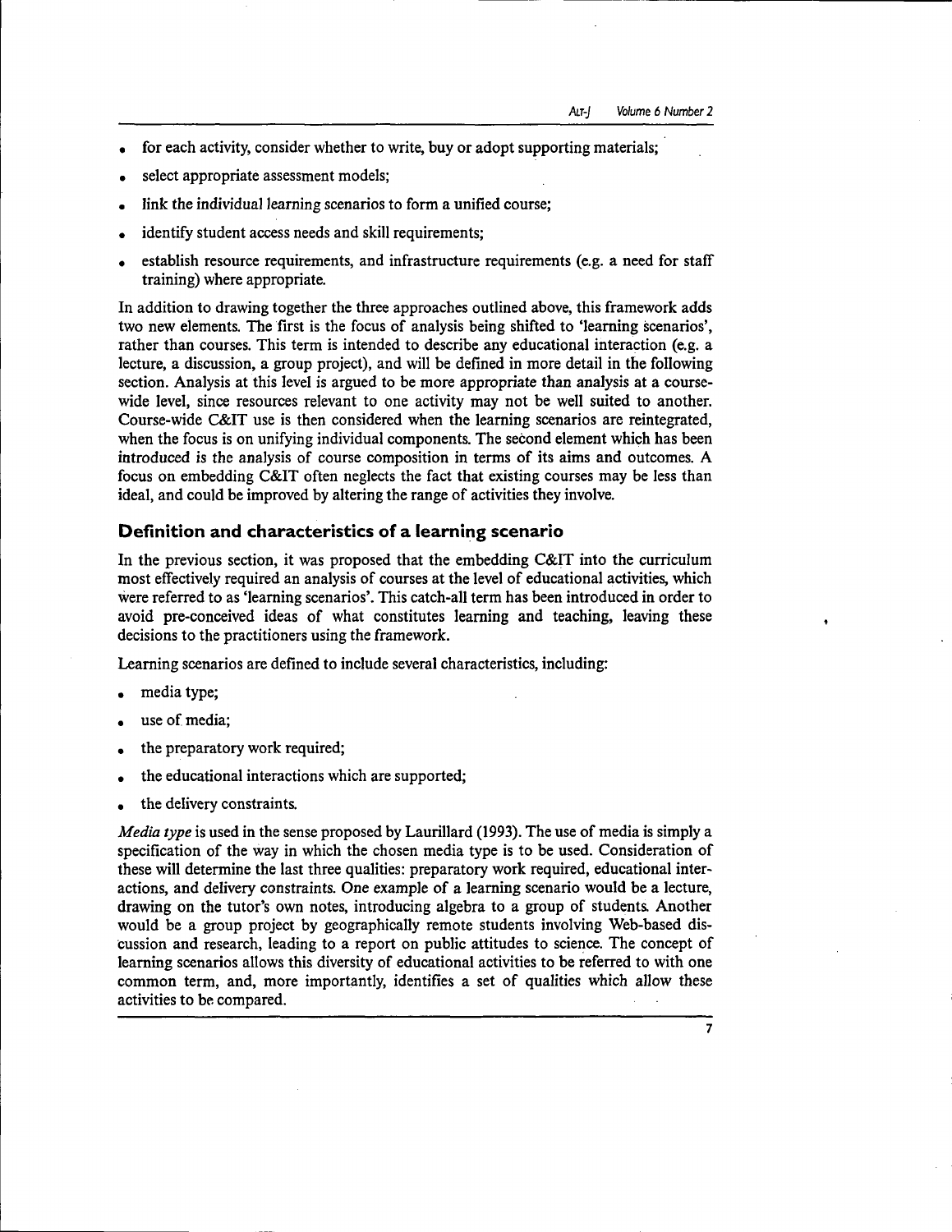- for each activity, consider whether to write, buy or adopt supporting materials;
- select appropriate assessment models;
- link the individual learning scenarios to form a unified course;
- identify student access needs and skill requirements:
- establish resource requirements, and infrastructure requirements (e.g. a need for staff training) where appropriate.

In addition to drawing together the three approaches outlined above, this framework adds two new elements. The first is the focus of analysis being shifted to 'learning scenarios', rather than courses. This term is intended to describe any educational interaction (e.g. a lecture, a discussion, a group project), and will be defined in more detail in the following section. Analysis at this level is argued to be more appropriate than analysis at a coursewide level, since resources relevant to one activity may not be well suited to another. Course-wide C&IT use is then considered when the learning scenarios are reintegrated, when the focus is on unifying individual components. The second element which has been introduced *is* the analysis of course composition in terms of its aims and outcomes. A focus on embedding C&IT often neglects the fact that existing courses may be less than ideal, and could be improved by altering the range of activities they involve.

# **Definition and characteristics of a learning scenario**

In the previous section, it was proposed that the embedding C&IT into the curriculum most effectively required an analysis of courses at the level of educational activities, which were referred to as 'learning scenarios'. This catch-all term has been introduced in order to avoid pre-conceived ideas of what constitutes learning and teaching, leaving these decisions to the practitioners using the framework.

Learning scenarios are defined to include several characteristics, including:

- media type;
- use of media:
- the preparatory work required;
- the educational interactions which are supported;
- the delivery constraints.

*Media type* is used in the sense proposed by Laurillard (1993). The use of media is simply a specification of the way in which the chosen media type is to be used. Consideration of these will determine the last three qualities: preparatory work required, educational interactions, and delivery constraints. One example of a learning scenario would be a lecture, drawing on the tutor's own notes, introducing algebra to a group of students. Another would be a group project by geographically remote students involving Web-based discussion and research, leading to a report on public attitudes to science. The concept of learning scenarios allows this diversity of educational activities to be referred to with one common term, and, more importantly, identifies a set of qualities which allow these activities to be compared.

**7**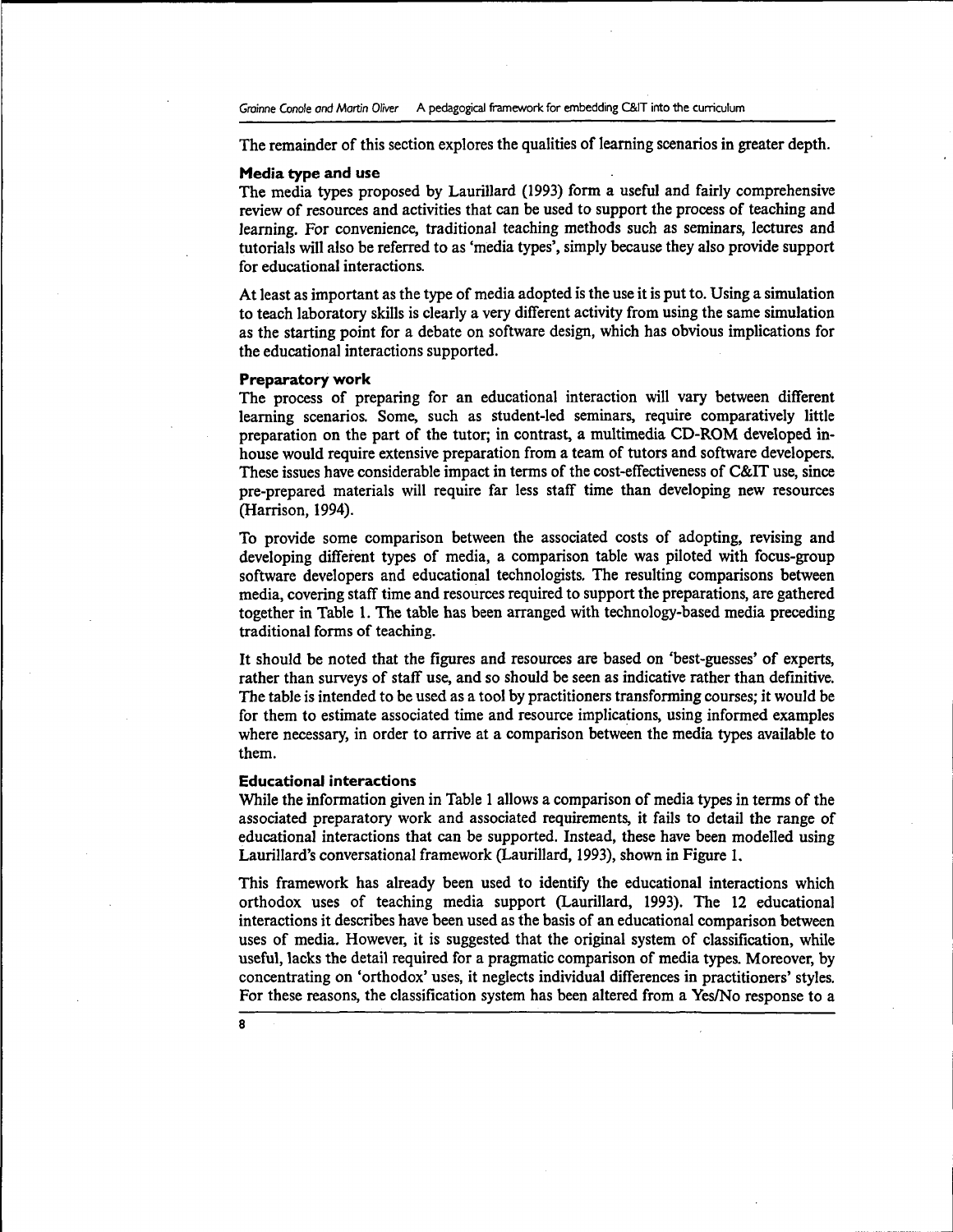The remainder of this section explores the qualities of learning scenarios in greater depth.

#### **Media type and use**

The media types proposed by Laurillard (1993) form a useful and fairly comprehensive review of resources and activities that can be used to support the process of teaching and learning. For convenience, traditional teaching methods such as seminars, lectures and tutorials will also be referred to as 'media types', simply because they also provide support for educational interactions.

At least as important as the type of media adopted is the use it is put to. Using a simulation to teach laboratory skills is clearly a very different activity from using the same simulation as the starting point for a debate on software design, which has obvious implications for the educational interactions supported.

#### **Preparatory work**

The process of preparing for an educational interaction will vary between different learning scenarios. Some, such as student-led seminars, require comparatively little preparation on the part of the tutor; in contrast, a multimedia CD-ROM developed inhouse would require extensive preparation from a team of tutors and software developers. These issues have considerable impact in terms of the cost-effectiveness of C&IT use, since pre-prepared materials will require far less staff time than developing new resources (Harrison, 1994).

To provide some comparison between the associated costs of adopting, revising and developing different types of media, a comparison table was piloted with focus-group software developers and educational technologists. The resulting comparisons between media, covering staff time and resources required to support the preparations, are gathered together in Table 1. The table has been arranged with technology-based media preceding traditional forms of teaching.

It should be noted that the figures and resources are based on 'best-guesses' of experts, rather than surveys of staff use, and so should be seen as indicative rather than definitive. The table is intended to be used as a tool by practitioners transforming courses; it would be for them to estimate associated time and resource implications, using informed examples where necessary, in order to arrive at a comparison between the media types available to them.

#### **Educational interactions**

While the information given in Table 1 allows a comparison of media types in terms of the associated preparatory work and associated requirements, it fails to detail the range of educational interactions that can be supported. Instead, these have been modelled using Laurillard's conversational framework (Laurillard, 1993), shown in Figure 1.

This framework has already been used to identify the educational interactions which orthodox uses of teaching media support (Laurillard, 1993). The 12 educational interactions it describes have been used as the basis of an educational comparison between uses of media. However, it is suggested that the original system of classification, while useful, lacks the detail required for a pragmatic comparison of media types. Moreover, by concentrating on 'orthodox' uses, it neglects individual differences in practitioners' styles. For these reasons, the classification system has been altered from a Yes/No response to a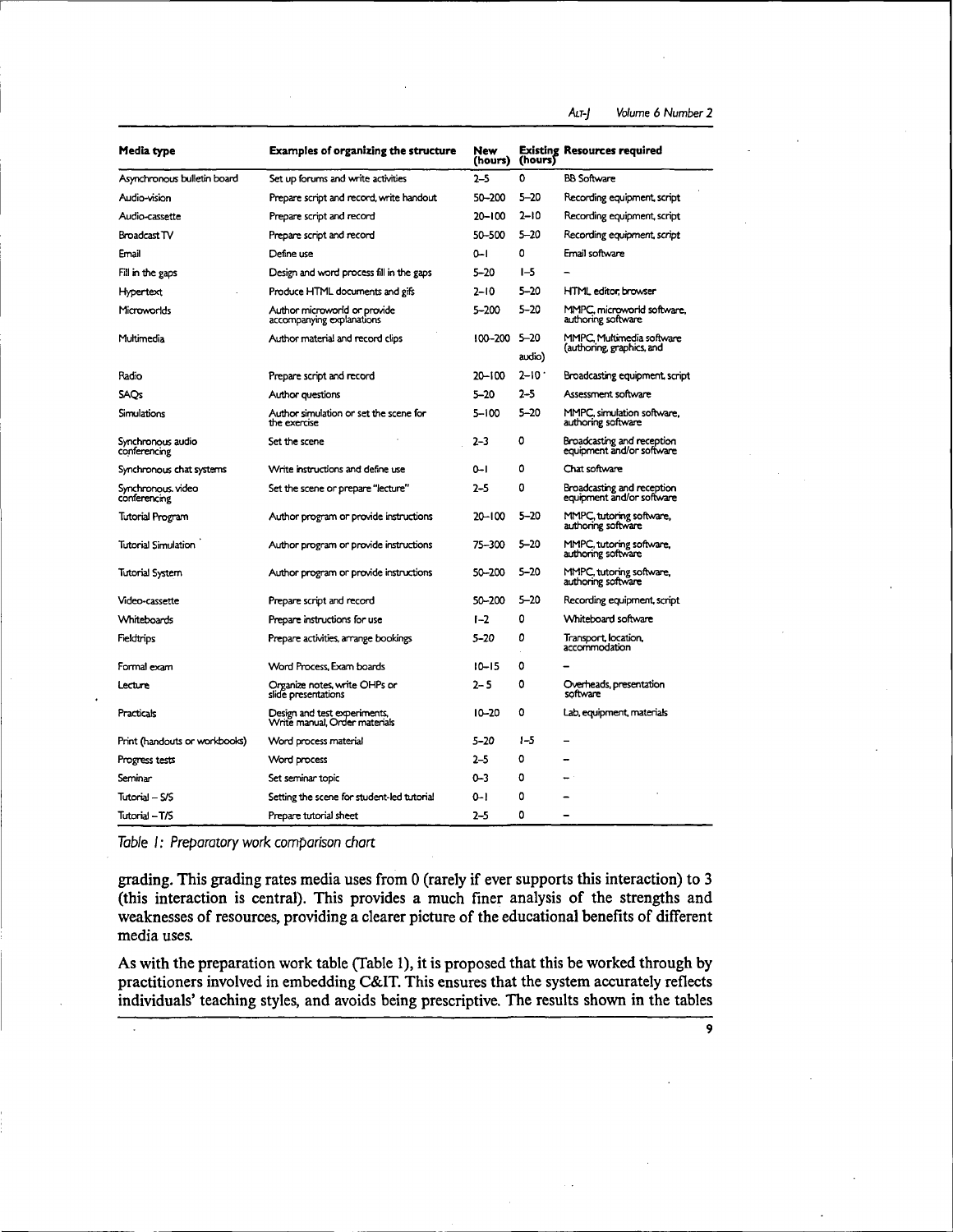ALT-J Volume 6 Number 2

| Media type                         | <b>Examples of organizing the structure</b>                   | New<br>(hours) | (hours)            | <b>Existing Resources required</b>                      |
|------------------------------------|---------------------------------------------------------------|----------------|--------------------|---------------------------------------------------------|
| Asynchronous bulletin board        | Set up forums and write activities                            | $2 - 5$        | 0                  | <b>BB Software</b>                                      |
| Audio-vision                       | Prepare script and record, write handout                      | 50-200         | 5-20               | Recording equipment, script                             |
| Audio-cassette                     | Prepare script and record                                     | $20 - 100$     | 2–10               | Recording equipment, script                             |
| Broadcast TV                       | Prepare script and record                                     | 50-500         | $5 - 20$           | Recording equipment, script                             |
| Email                              | Define use                                                    | $0 - 1$        | ٥                  | Email software                                          |
| Fill in the gaps                   | Design and word process fill in the gaps                      | $5 - 20$       | $I - 5$            |                                                         |
| <b>Hypertext</b>                   | Produce HTML documents and gifs                               | 2–10           | $5 - 20$           | HTML editor, browser                                    |
| Microworlds                        | Author microworld or provide<br>accompanying explanations     | 5-200          | $5 - 20$           | MMPC, microworld software,<br>authoring software        |
| Multimedia                         | Author material and record clips                              | 100-200        | $5 - 20$<br>audio) | MMPC, Multimedia software<br>(authoring, graphics, and  |
| Radio                              | Prepare script and record                                     | 20-100         | $2 - 10.7$         | Broadcasting equipment, script                          |
| <b>SAOs</b>                        | Author questions                                              | $5 - 20$       | $2 - 5$            | Assessment software                                     |
| Simulations                        | Author simulation or set the scene for<br>the exercise        | $5 - 100$      | 5–20               | MMPC, simulation software.<br>authoring software        |
| Synchronous audio<br>conferencing  | Set the scene                                                 | $2 - 3$        | 0                  | Broadcasting and reception<br>equipment and/or software |
| Synchronous chat systems           | Write instructions and define use                             | $0 - 1$        | 0                  | Chat software                                           |
| Synchronous, video<br>conferencing | Set the scene or prepare "lecture"                            | $2 - 5$        | 0                  | Broadcasting and reception<br>equipment and/or software |
| Tutorial Program                   | Author program or provide instructions                        | $20 - 100$     | 5–20               | MMPC, tutoring software,<br>authoring software          |
| Tutorial Simulation                | Author program or provide instructions                        | 75-300         | $5 - 20$           | MMPC, tutoring software,<br>authoring software          |
| Tutorial System                    | Author program or provide instructions                        | 50-200         | 5–20               | MMPC, tutoring software,<br>authoring software          |
| Video-cassette                     | Prepare script and record                                     | 50-200         | $5 - 20$           | Recording equipment, script                             |
| <b>Whiteboards</b>                 | Prepare instructions for use                                  | $1-2$          | ٥                  | Whiteboard software                                     |
| Fieldtrips                         | Prepare activities, arrange bookings                          | $5 - 20$       | ٥                  | Transport, location,<br>accommodation                   |
| Formal exam                        | Word Process, Exam boards                                     | $10 - 15$      | 0                  |                                                         |
| Lecture                            | Organize notes, write OHPs or<br>slide presentations          | 2–5            | 0                  | Overheads presentation<br>software                      |
| Practicals                         | Design and test experiments,<br>Write manual, Order materials | $10 - 20$      | 0                  | Lab, equipment, materials                               |
| Print (handouts or workbooks)      | Word process material                                         | 5–20           | $1 - 5$            |                                                         |
| Progress tests                     | Word process                                                  | 2–5            | 0                  |                                                         |
| Seminar                            | Set seminar topic                                             | 0-3            | 0                  |                                                         |
| Tutorial – S/S                     | Setting the scene for student-led tutorial                    | 0-l            | 0                  |                                                         |
| Tutorial - T/S                     | Prepare tutorial sheet                                        | $2 - 5$        | ٥                  |                                                         |

Table I: Preparatory work comparison chart

grading. This grading rates media uses from 0 (rarely if ever supports this interaction) to 3 (this interaction is central). This provides a much finer analysis of the strengths and weaknesses of resources, providing a clearer picture of the educational benefits of different media uses.

As with the preparation work table (Table 1), it is proposed that this be worked through by practitioners involved in embedding C&IT. This ensures that the system accurately reflects individuals' teaching styles, and avoids being prescriptive. The results shown in the tables

**9**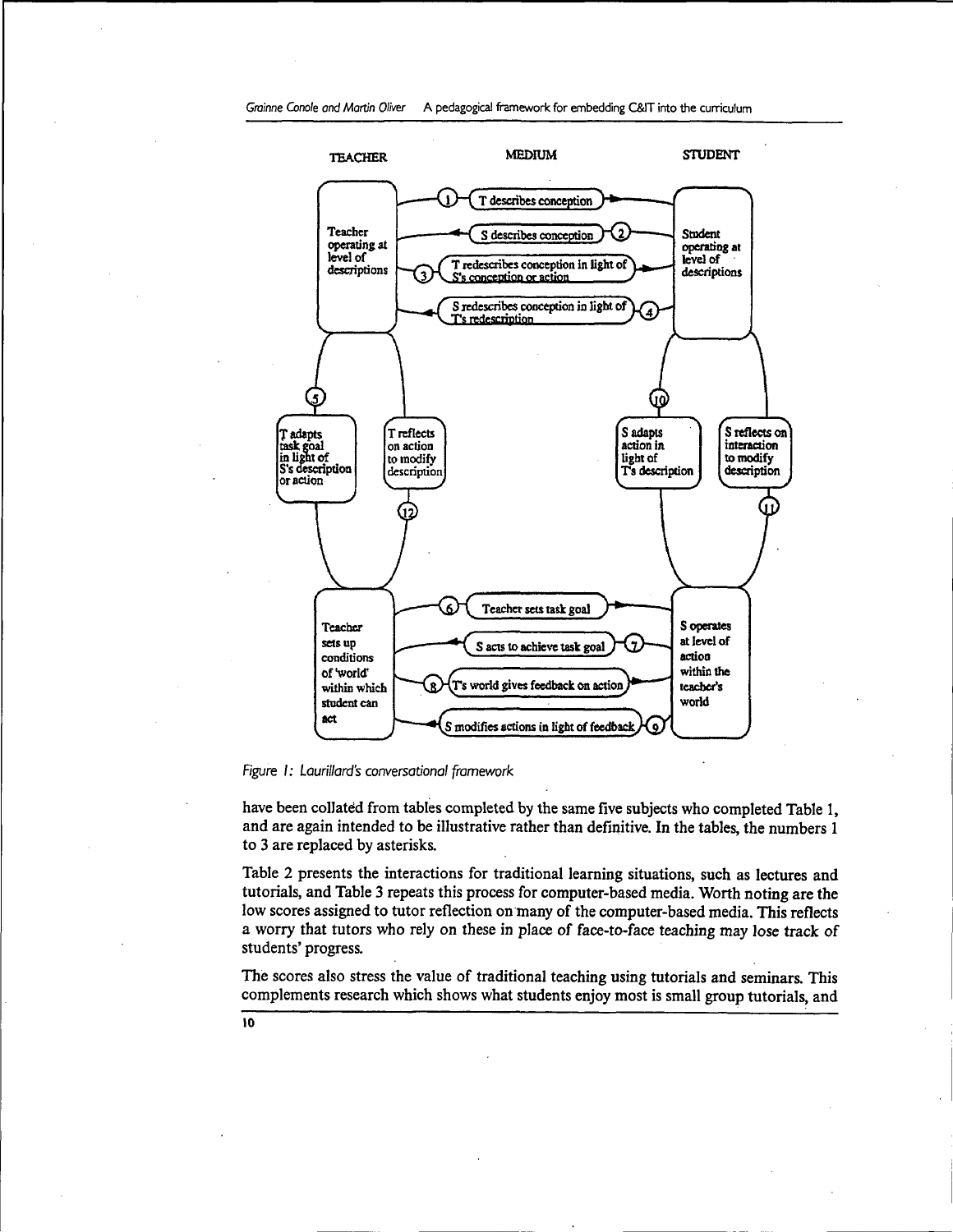

Figure I: Laurillard's conversational framework

have been collated from tables completed by the same five subjects who completed Table 1, and are again intended to be illustrative rather than definitive. In the tables, the numbers 1 to 3 are replaced by asterisks.

Table 2 presents the interactions for traditional learning situations, such as lectures and tutorials, and Table 3 repeats this process for computer-based media. Worth noting are the low scores assigned to tutor reflection on many of the computer-based media. This reflects a worry that tutors who rely on these in place of face-to-face teaching may lose track of students' progress.

The scores also stress the value of traditional teaching using tutorials and seminars. This complements research which shows what students enjoy most is small group tutorials, and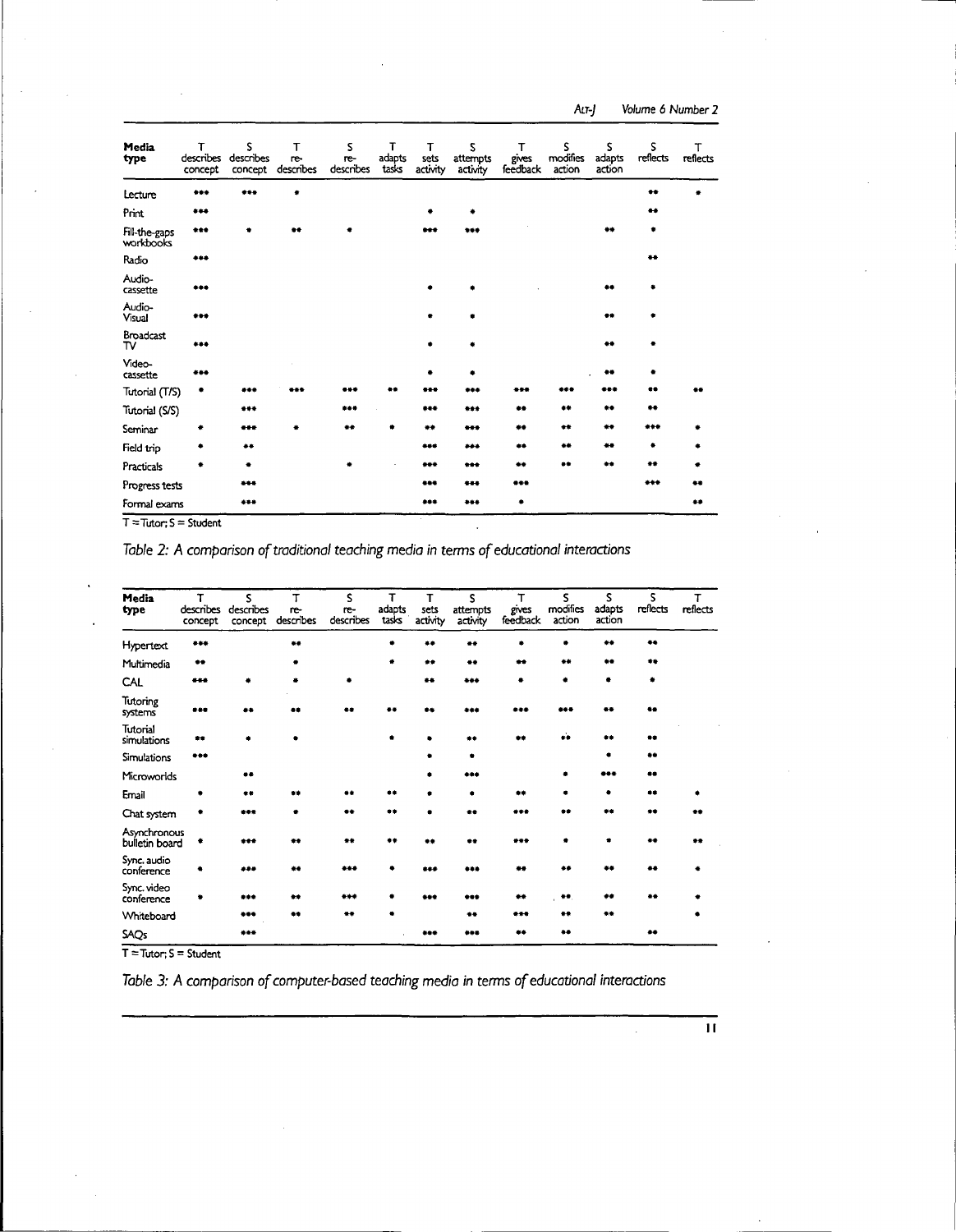ALT-] Volume 6 Number 2

| Media<br>type              | т<br>describes<br>concept | s<br>describes<br>concept | т<br>re-<br>describes | s<br>re-<br>describes | т<br>adapts<br>tasks | т<br>sets<br>activity | s<br>attempts<br>activity | т<br>gives<br>feedback | S<br>modifies<br>action | s<br>adapts<br>action | s<br>reflects    | т<br>reflects |
|----------------------------|---------------------------|---------------------------|-----------------------|-----------------------|----------------------|-----------------------|---------------------------|------------------------|-------------------------|-----------------------|------------------|---------------|
| Lecture                    | ***                       | ***                       |                       |                       |                      |                       |                           |                        |                         |                       | 48               |               |
| Print                      | ***                       |                           |                       |                       |                      | ٠                     |                           |                        |                         |                       | $\bullet\bullet$ |               |
| Fill-the-gaps<br>workbooks | $***$                     |                           | 44                    |                       |                      | ***                   | $***$                     |                        |                         | $4 +$                 |                  |               |
| Radio                      | ***                       |                           |                       |                       |                      |                       |                           |                        |                         |                       | **               |               |
| Audio-<br>cassette         | $***$                     |                           |                       |                       |                      |                       |                           |                        |                         | **                    |                  |               |
| Audio-<br>Visual           | ***                       |                           |                       |                       |                      |                       |                           |                        |                         | $\bullet$             |                  |               |
| <b>Broadcast</b><br>тν     | ***                       |                           |                       |                       |                      |                       |                           |                        |                         | $\bullet$             |                  |               |
| Video-<br>cassette         | ***                       |                           |                       |                       |                      |                       |                           |                        |                         | **                    |                  |               |
| Tutorial (T/S)             |                           |                           |                       |                       |                      |                       |                           |                        |                         |                       |                  |               |
| Tutorial (S/S)             |                           | $***$                     |                       | ***                   |                      | ***                   | ***                       | **                     | 牛羊                      | **                    | $***$            |               |
| Seminar                    |                           | ***                       |                       | ده                    |                      | **                    |                           | **                     | $+$                     | $\bullet$             | ***              |               |
| Field trip                 |                           |                           |                       |                       |                      | ***                   | ***                       | $\bullet\bullet$       | 48                      | $\bullet\bullet$      | ۰                |               |
| Practicals                 |                           | ٠                         |                       |                       |                      | $***$                 | ***                       | **                     | **                      |                       | $+ +$            |               |
| Progress tests             |                           | ***                       |                       |                       |                      | ***                   | ***                       | ***                    |                         |                       | ***              |               |
| Formal exams               |                           | $***$                     |                       |                       |                      | ***                   | ***                       | ۰                      |                         |                       |                  | 春春            |

 $T = Tutor; S = Student$ 

Table 2: A comparison of traditional teaching media in terms of educational interactions

| Media<br>type                  | T<br>describes<br>concept | S<br>describes<br>concept | т<br>re-<br>describes | S<br>re-<br>describes | т<br>adapts<br>tasks | т<br>sets<br>activity | S<br>attempts<br>activity | т<br>gives<br>feedback | S<br>modifies<br>action | s<br>adapts<br>action | s.<br>reflects | T<br>reflects |
|--------------------------------|---------------------------|---------------------------|-----------------------|-----------------------|----------------------|-----------------------|---------------------------|------------------------|-------------------------|-----------------------|----------------|---------------|
| Hypertext                      |                           |                           |                       |                       |                      |                       |                           |                        |                         |                       | $\bullet$      |               |
| Multimedia                     | $\bullet\bullet$          |                           |                       |                       |                      | **                    |                           |                        |                         |                       | 22             |               |
| CAL                            | ***                       |                           |                       |                       |                      |                       | ***                       |                        |                         |                       |                |               |
| Tutoring<br>systems            | $+ + +$                   |                           |                       |                       |                      |                       |                           |                        |                         |                       |                |               |
| Tutorial<br>simulations        |                           |                           |                       |                       |                      |                       |                           |                        |                         |                       | **             |               |
| Simulations                    | ***                       |                           |                       |                       |                      |                       |                           |                        |                         |                       |                |               |
| Microworlds                    |                           |                           |                       |                       |                      |                       | دده                       |                        |                         |                       |                |               |
| Email                          |                           | **                        |                       |                       |                      |                       |                           |                        |                         |                       | $+ +$          |               |
| Chat system                    |                           | مدد                       |                       |                       |                      |                       |                           |                        |                         |                       | **             |               |
| Asynchronous<br>bulletin board |                           |                           |                       |                       |                      |                       |                           |                        |                         |                       |                |               |
| Sync. audio<br>conference      |                           | د ده.                     |                       |                       |                      |                       |                           |                        |                         |                       |                |               |
| Sync. video<br>conference      |                           | ***                       |                       |                       |                      |                       |                           |                        | **                      |                       |                |               |
| Whiteboard                     |                           | ***                       |                       |                       |                      |                       | **                        |                        |                         | 88                    |                |               |
| SAQ <sub>S</sub>               |                           | ***                       |                       |                       |                      |                       |                           |                        | $\bullet\bullet$        |                       | 44             |               |

 $T = Tutor; S = Student$ 

Table 3: A comparison of computer-based teaching media in terms of educational interactions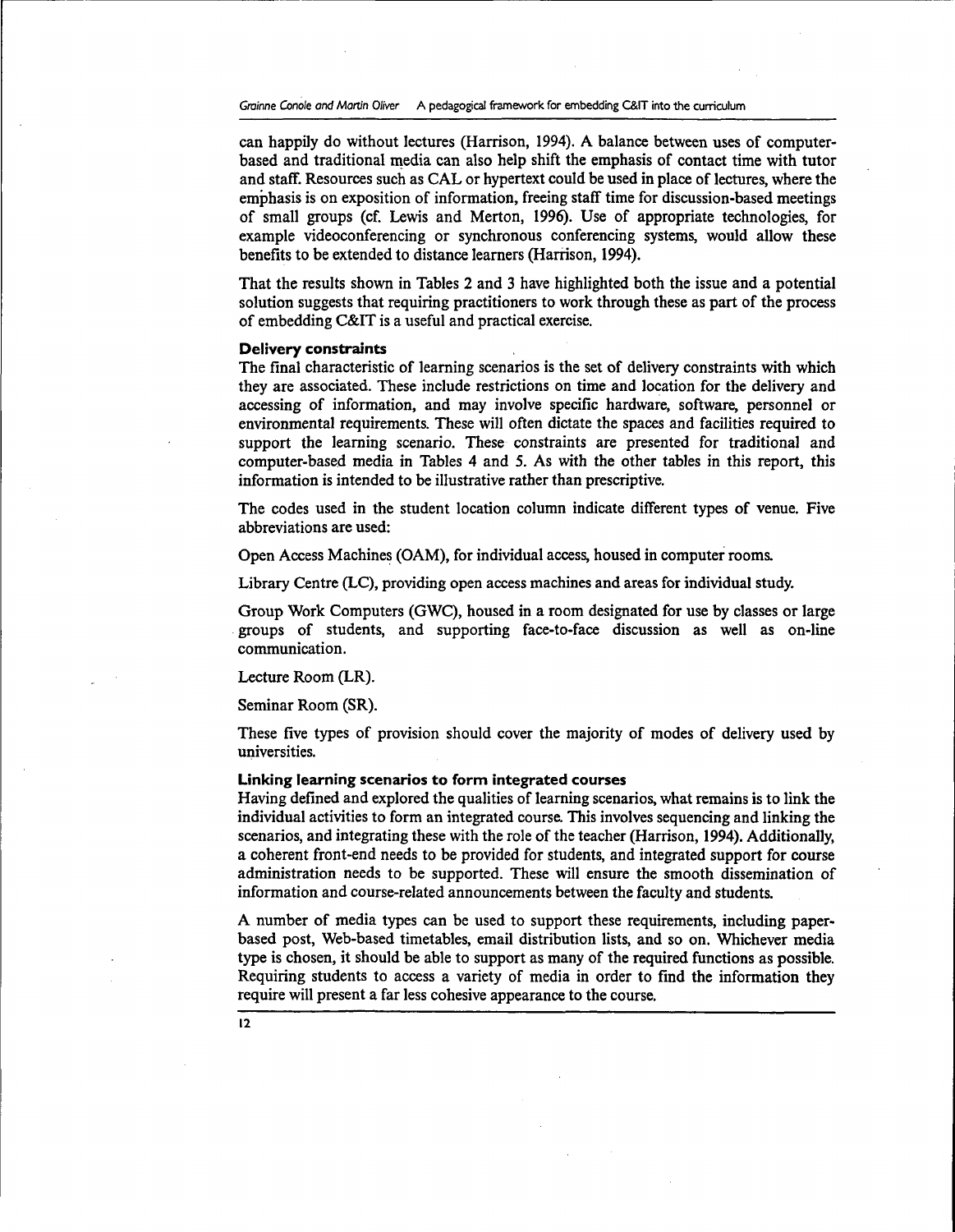Grainne Conole and Martin Oliver A pedagogical framework for embedding C&IT into the curriculum

can happily do without lectures (Harrison, 1994). A balance between uses of computerbased and traditional media can also help shift the emphasis of contact time with tutor and staff. Resources such as CAL or hypertext could be used in place of lectures, where the emphasis is on exposition of information, freeing staff time for discussion-based meetings of small groups (cf. Lewis and Merton, 1996). Use of appropriate technologies, for example videoconferencing or synchronous conferencing systems, would allow these benefits to be extended to distance learners (Harrison, 1994).

That the results shown in Tables 2 and 3 have highlighted both the issue and a potential solution suggests that requiring practitioners to work through these as part of the process of embedding C&IT is a useful and practical exercise.

#### **Delivery constraints**

The final characteristic of learning scenarios is the set of delivery constraints with which they are associated. These include restrictions on time and location for the delivery and accessing of information, and may involve specific hardware, software, personnel or environmental requirements. These will often dictate the spaces and facilities required to support the learning scenario. These constraints are presented for traditional and computer-based media in Tables 4 and 5. As with the other tables in this report, this information is intended to be illustrative rather than prescriptive.

The codes used in the student location column indicate different types of venue. Five abbreviations are used:

Open Access Machines (OAM), for individual access, housed in computer rooms.

Library Centre (LC), providing open access machines and areas for individual study.

Group Work Computers (GWC), housed in a room designated for use by classes or large groups of students, and supporting face-to-face discussion as well as on-line communication.

Lecture Room (LR).

Seminar Room (SR).

These five types of provision should cover the majority of modes of delivery used by universities.

## **Linking learning scenarios to form integrated courses**

Having defined and explored the qualities of learning scenarios, what remains is to link the individual activities to form an integrated course. This involves sequencing and linking the scenarios, and integrating these with the role of the teacher (Harrison, 1994). Additionally, a coherent front-end needs to be provided for students, and integrated support for course administration needs to be supported. These will ensure the smooth dissemination of information and course-related announcements between the faculty and students.

A number of media types can be used to support these requirements, including paperbased post, Web-based timetables, email distribution lists, and so on. Whichever media type is chosen, it should be able to support as many of the required functions as possible. Requiring students to access a variety of media in order to find the information they require will present a far less cohesive appearance to the course.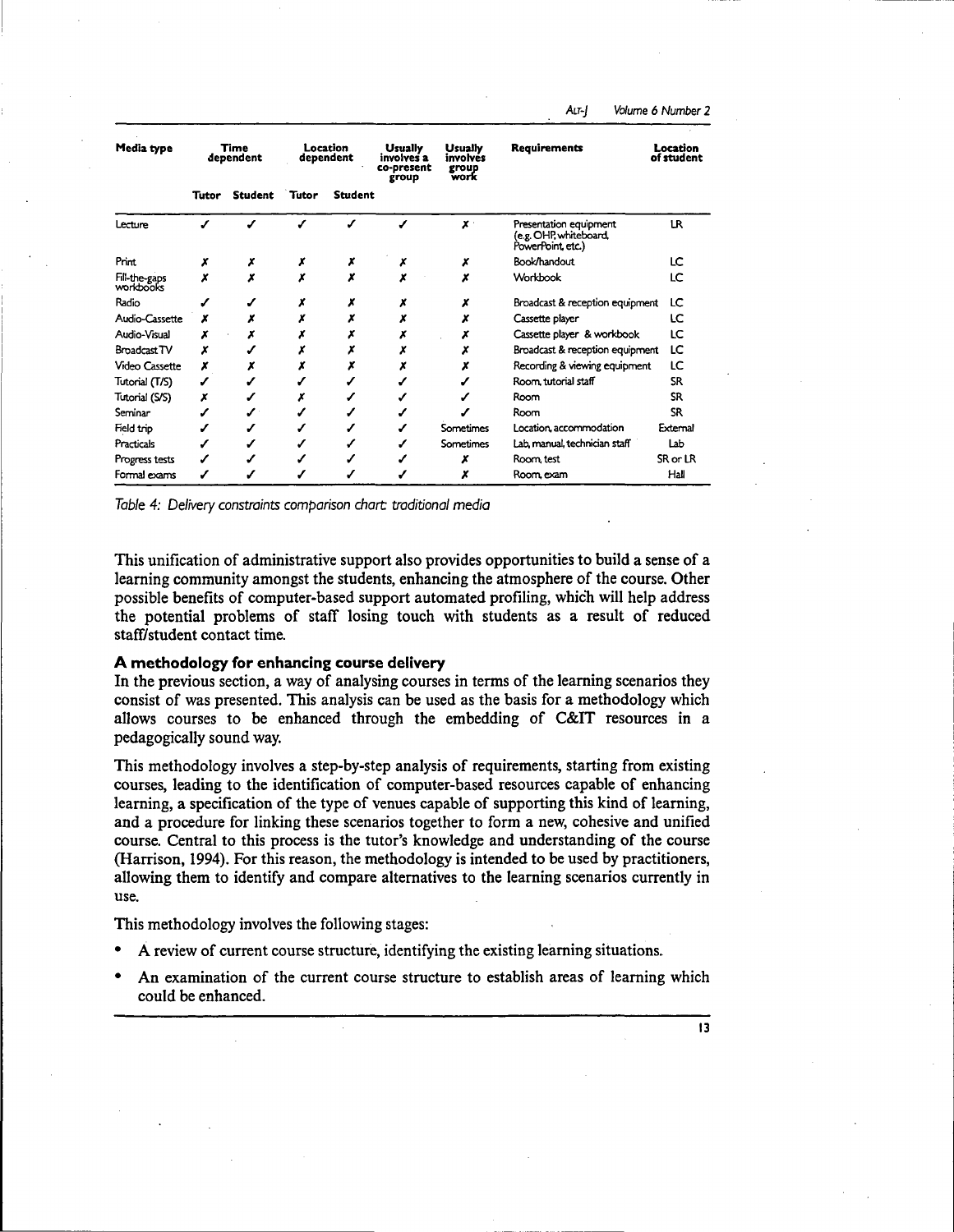| Media type                 | Time<br>dependent |                | Location<br>dependent |                | Usually<br>involves a<br>co-present<br>group | <b>Usually</b><br>involvés<br>group<br>work | <b>Requirements</b>                                                   | Location<br>of student |
|----------------------------|-------------------|----------------|-----------------------|----------------|----------------------------------------------|---------------------------------------------|-----------------------------------------------------------------------|------------------------|
|                            | <b>Tutor</b>      | <b>Student</b> | Tutor                 | <b>Student</b> |                                              |                                             |                                                                       |                        |
| Lecture                    |                   |                |                       |                |                                              | $\boldsymbol{x}$ .                          | Presentation equipment<br>(e.g. OHP, whiteboard,<br>PowerPoint, etc.) | LR.                    |
| Print                      | x                 | x              |                       | x              |                                              | x                                           | Book/handout                                                          | LC                     |
| Fill-the-gaps<br>workbooks |                   | x              | x                     | x              |                                              | x                                           | Workbook                                                              | LC                     |
| Radio                      |                   |                |                       |                |                                              |                                             | Broadcast & reception equipment                                       | LC                     |
| Audio-Cassette             | x                 |                |                       |                |                                              |                                             | Cassette player                                                       | ιc                     |
| Audio-Visual               |                   | x              |                       |                |                                              | x                                           | Cassette player & workbook                                            | LC                     |
| Broadcast TV               | x                 |                |                       |                |                                              |                                             | Broadcast & reception equipment                                       | LC                     |
| <b>Video Cassette</b>      | x                 |                |                       |                |                                              |                                             | Recording & viewing equipment                                         | LC                     |
| Tutorial (T/S)             |                   |                |                       |                |                                              |                                             | Room, tutorial staff                                                  | SR.                    |
| Tutorial (S/S)             | x                 |                |                       |                |                                              |                                             | Room                                                                  | SR                     |
| Seminar                    |                   |                |                       |                |                                              |                                             | Room                                                                  | <b>SR</b>              |
| Field trip                 |                   |                |                       |                |                                              | Sometimes                                   | Location, accommodation                                               | External               |
| Practicals                 |                   |                |                       |                |                                              | Sometimes                                   | Lab, manual, technician staff                                         | Lab                    |
| Progress tests             |                   |                |                       |                |                                              |                                             | Room, test                                                            | SR or LR               |
| Formal exams               |                   |                |                       |                |                                              |                                             | Room, exam                                                            | <b>Hall</b>            |

Table 4: Delivery constraints comparison chart traditional media

This unification of administrative support also provides opportunities to build a sense of a learning community amongst the students, enhancing the atmosphere of the course. Other possible benefits of computer-based support automated profiling, which will help address the potential problems of staff losing touch with students as a result of reduced staff/student contact time.

#### **A methodology for enhancing course delivery**

In the previous section, a way of analysing courses in terms of the learning scenarios they consist of was presented. This analysis can be used as the basis for a methodology which allows courses to be enhanced through the embedding of C&IT resources in a pedagogically sound way.

This methodology involves a step-by-step analysis of requirements, starting from existing courses, leading to the identification of computer-based resources capable of enhancing learning, a specification of the type of venues capable of supporting this kind of learning, and a procedure for linking these scenarios together to form a new, cohesive and unified course. Central to this process is the tutor's knowledge and understanding of the course (Harrison, 1994). For this reason, the methodology is intended to be used by practitioners, allowing them to identify and compare alternatives to the learning scenarios currently in use.

This methodology involves the following stages:

- A review of current course structure, identifying the existing learning situations.
- An examination of the current course structure to establish areas of learning which could be enhanced.

13

ALT-} Volume 6 Number 2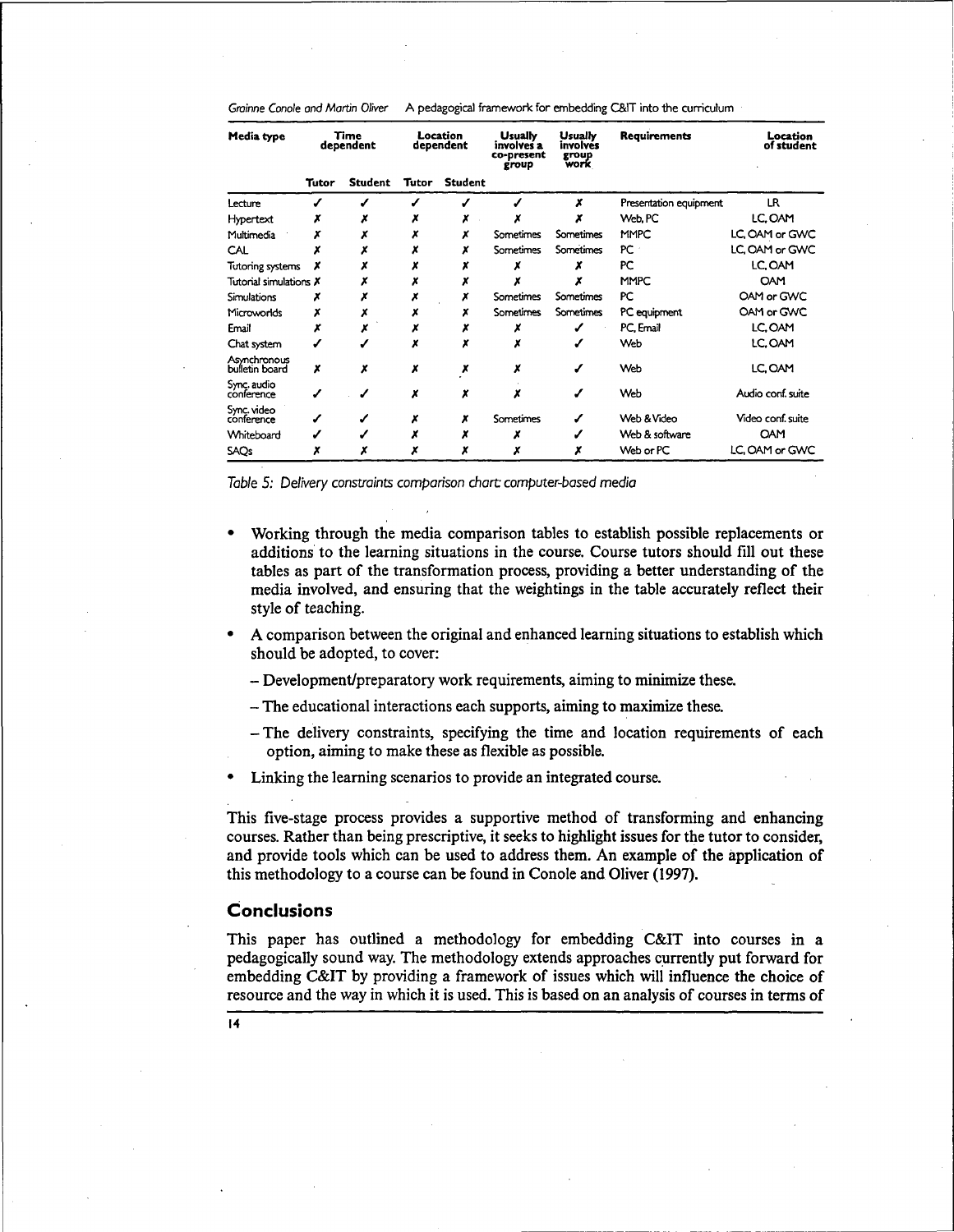| Grainne Conole and Martin Oliver | A pedagogical framework for embedding C&IT into the curriculum |  |
|----------------------------------|----------------------------------------------------------------|--|
|----------------------------------|----------------------------------------------------------------|--|

| Media type                     | Time<br>dependent |                | Location<br>dependent |                | <b>Usually</b><br>involves a<br>co-present<br>group | Usually<br>involvés<br>group<br>work | Requirements           | Location<br>of student |  |
|--------------------------------|-------------------|----------------|-----------------------|----------------|-----------------------------------------------------|--------------------------------------|------------------------|------------------------|--|
|                                | <b>Tutor</b>      | <b>Student</b> | Tutor                 | <b>Student</b> |                                                     |                                      |                        |                        |  |
| Lecture                        |                   |                |                       |                |                                                     | x                                    | Presentation equipment | LR                     |  |
| Hypertext                      |                   |                |                       |                |                                                     |                                      | Web, PC                | LC, OAM                |  |
| Multimedia                     |                   |                |                       |                | Sometimes                                           | Sometimes                            | <b>MMPC</b>            | LC. OAM or GWC         |  |
| CAL                            |                   |                |                       |                | Sometimes                                           | Sometimes                            | PC                     | LC, OAM or GWC         |  |
| Tutoring systems               |                   |                |                       |                |                                                     |                                      | PC                     | LC, OAM                |  |
| Tutorial simulations $\bm{X}$  |                   |                |                       |                |                                                     |                                      | <b>MMPC</b>            | <b>OAM</b>             |  |
| Simulations                    |                   |                |                       |                | Sometimes                                           | Sometimes                            | PC                     | OAM or GWC             |  |
| Microworlds                    | х                 | x              |                       |                | Sometimes                                           | Sometimes                            | PC equipment           | OAM or GWC             |  |
| Email                          | x                 |                |                       |                |                                                     |                                      | PC, Email              | LC.OAM                 |  |
| Chat system                    |                   |                |                       |                |                                                     |                                      | Web                    | LC, OAM                |  |
| Asynchronous<br>bulletin board | x                 | X              | x                     | x              | x                                                   |                                      | Web                    | LC, OAM                |  |
| Sync. audio<br>conference      |                   |                | x                     | x              |                                                     |                                      | Web                    | Audio conf. suite      |  |
| Sync. video<br>conference      |                   |                |                       |                | Sometimes                                           |                                      | Web & Video            | Video conf. suite      |  |
| Whiteboard                     |                   |                |                       |                |                                                     |                                      | Web & software         | <b>OAM</b>             |  |
| SAQs                           | x                 |                | x                     | x              |                                                     |                                      | Web or PC              | LC, OAM or GWC         |  |

Table 5: Delivery constraints comparison chart computer-based media

- Working through the media comparison tables to establish possible replacements or additions to the learning situations in the course. Course tutors should fill out these tables as part of the transformation process, providing a better understanding of the media involved, and ensuring that the weightings in the table accurately reflect their style of teaching.
- A comparison between the original and enhanced learning situations to establish which should be adopted, to cover:
	- Development/preparatory work requirements, aiming to minimize these.
	- The educational interactions each supports, aiming to maximize these.
	- -The delivery constraints, specifying the time and location requirements of each option, aiming to make these as flexible as possible.
- Linking the learning scenarios to provide an integrated course.

This five-stage process provides a supportive method of transforming and enhancing courses. Rather than being prescriptive, it seeks to highlight issues for the tutor to consider, and provide tools which can be used to address them. An example of the application of this methodology to a course can be found in Conole and Oliver (1997).

## **Conclusions**

This paper has outlined a methodology for embedding C&IT into courses in a pedagogically sound way. The methodology extends approaches currently put forward for embedding C&IT by providing a framework of issues which will influence the choice of resource and the way in which it is used. This is based on an analysis of courses in terms of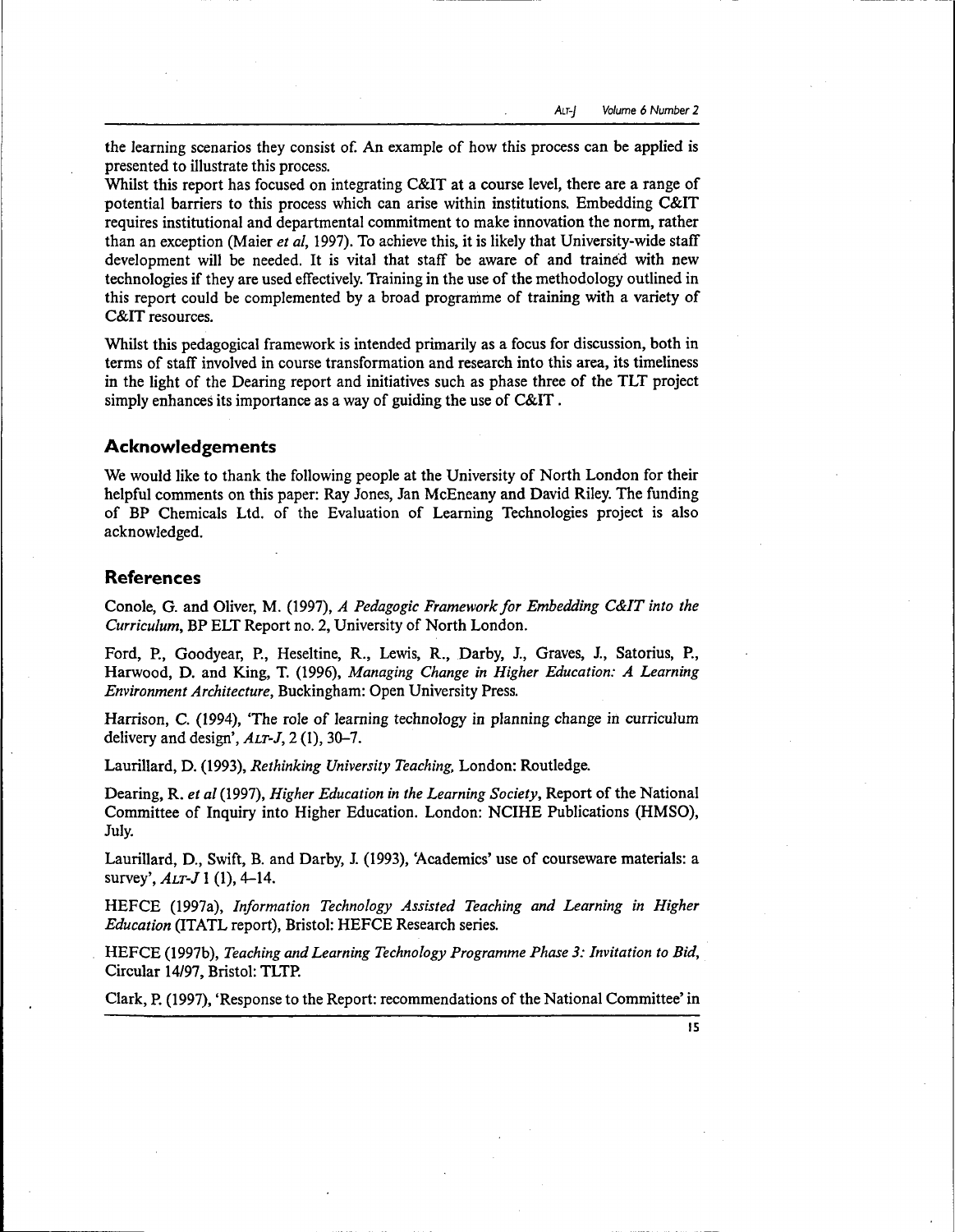ALT-} Volume 6 Number 2

the learning scenarios they consist of. An example of how this process can be applied is presented to illustrate this process.

Whilst this report has focused on integrating C&IT at a course level, there are a range of potential barriers to this process which can arise within institutions. Embedding C&IT requires institutional and departmental commitment to make innovation the norm, rather than an exception (Maier *et al,* 1997). To achieve this, it is likely that University-wide staff development will be needed. It is vital that staff be aware of and trained with new technologies if they are used effectively. Training in the use of the methodology outlined in this report could be complemented by a broad programme of training with a variety of C&IT resources.

Whilst this pedagogical framework is intended primarily as a focus for discussion, both in terms of staff involved in course transformation and research into this area, its timeliness in the light of the Dearing report and initiatives such as phase three of the TLT project simply enhances its importance as a way of guiding the use of C&IT.

# **Acknowledgements**

We would like to thank the following people at the University of North London for their helpful comments on this paper: Ray Jones, Jan McEneany and David Riley. The funding of BP Chemicals Ltd. of the Evaluation of Learning Technologies project is also acknowledged.

# **References**

Conole, G. and Oliver, M. (1997), *A Pedagogic Framework for Embedding C&IT into the Curriculum,* BP ELT Report no. 2, University of North London.

Ford, P., Goodyear, P., Heseltine, R., Lewis, R., Darby, J., Graves, J., Satorius, P., Harwood, D. and King, T. (1996), *Managing Change in Higher Education: A Learning Environment Architecture,* Buckingham: Open University Press.

Harrison, C. (1994), 'The role of learning technology in planning change in curriculum delivery and design', *ALT-J,* 2 (1), 30-7.

Laurillard, D. (1993), *Rethinking University Teaching,* London: Routledge.

Dearing, R. *et al* (1997), *Higher Education in the Learning Society,* Report of the National Committee of Inquiry into Higher Education. London: NCIHE Publications (HMSO), July.

Laurillard, D., Swift, B. and Darby, J. (1993), 'Academics' use of courseware materials: a survey', *ALT-J* 1 (1), 4-14.

HEFCE (1997a), *Information Technology Assisted Teaching and Learning in Higher Education* (ITATL report), Bristol: HEFCE Research series.

HEFCE (1997b), *Teaching and Learning Technology Programme Phase 3: Invitation to Bid,* Circular 14/97, Bristol: TLTP.

Clark, P. (1997), 'Response to the Report: recommendations of the National Committee' in

15